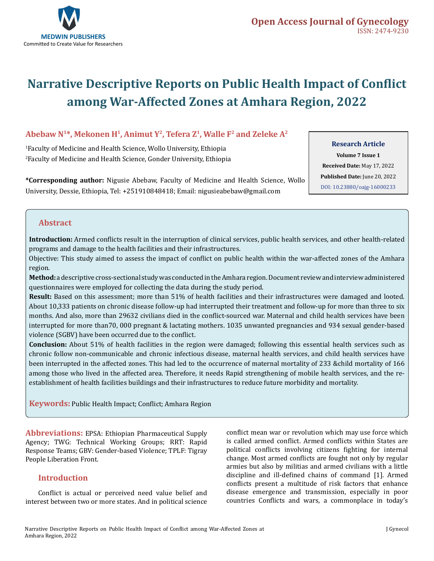

# **Narrative Descriptive Reports on Public Health Impact of Conflict among War-Affected Zones at Amhara Region, 2022**

# **Abebaw N1\*, Mekonen H1, Animut Y2, Tefera Z1, Walle F2 and Zeleke A2**

1 Faculty of Medicine and Health Science, Wollo University, Ethiopia 2 Faculty of Medicine and Health Science, Gonder University, Ethiopia **Research Article**

**Volume 7 Issue 1 Received Date:** May 17, 2022 **Published Date:** June 20, 2022 [DOI: 10.23880/oajg-16000233](https://doi.org/10.23880/oajg-16000233)

**\*Corresponding author:** Nigusie Abebaw, Faculty of Medicine and Health Science, Wollo University, Dessie, Ethiopia, Tel: +251910848418; Email: nigusieabebaw@gmail.com

# **Abstract**

**Introduction:** Armed conflicts result in the interruption of clinical services, public health services, and other health-related programs and damage to the health facilities and their infrastructures.

Objective: This study aimed to assess the impact of conflict on public health within the war-affected zones of the Amhara region.

**Method:** a descriptive cross-sectional study was conducted in the Amhara region. Document review and interview administered questionnaires were employed for collecting the data during the study period.

**Result:** Based on this assessment; more than 51% of health facilities and their infrastructures were damaged and looted. About 10,333 patients on chronic disease follow-up had interrupted their treatment and follow-up for more than three to six months. And also, more than 29632 civilians died in the conflict-sourced war. Maternal and child health services have been interrupted for more than70, 000 pregnant & lactating mothers. 1035 unwanted pregnancies and 934 sexual gender-based violence (SGBV) have been occurred due to the conflict.

**Conclusion:** About 51% of health facilities in the region were damaged; following this essential health services such as chronic follow non-communicable and chronic infectious disease, maternal health services, and child health services have been interrupted in the affected zones. This had led to the occurrence of maternal mortality of 233 &child mortality of 166 among those who lived in the affected area. Therefore, it needs Rapid strengthening of mobile health services, and the reestablishment of health facilities buildings and their infrastructures to reduce future morbidity and mortality.

**Keywords:** Public Health Impact; Conflict; Amhara Region

**Abbreviations:** EPSA: Ethiopian Pharmaceutical Supply Agency; TWG: Technical Working Groups; RRT: Rapid Response Teams; GBV: Gender-based Violence; TPLF: Tigray People Liberation Front.

# **Introduction**

Conflict is actual or perceived need value belief and interest between two or more states. And in political science conflict mean war or revolution which may use force which is called armed conflict. Armed conflicts within States are political conflicts involving citizens fighting for internal change. Most armed conflicts are fought not only by regular armies but also by militias and armed civilians with a little discipline and ill-defined chains of command [1]. Armed conflicts present a multitude of risk factors that enhance disease emergence and transmission, especially in poor countries Conflicts and wars, a commonplace in today's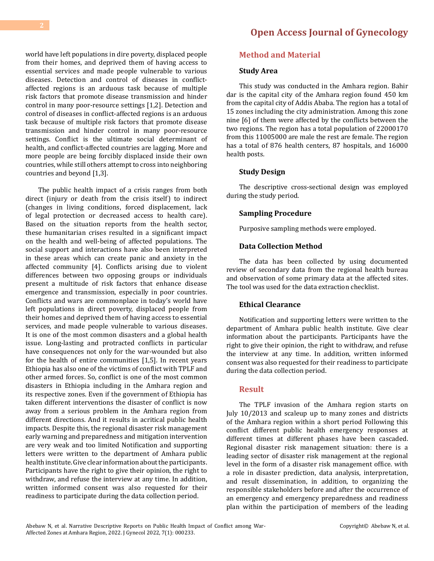**[Open Access Journal of Gynecology](https://medwinpublishers.com/OAJG)**

world have left populations in dire poverty, displaced people from their homes, and deprived them of having access to essential services and made people vulnerable to various diseases. Detection and control of diseases in conflictaffected regions is an arduous task because of multiple risk factors that promote disease transmission and hinder control in many poor-resource settings [1,2]. Detection and control of diseases in conflict-affected regions is an arduous task because of multiple risk factors that promote disease transmission and hinder control in many poor-resource settings. Conflict is the ultimate social determinant of health, and conflict-affected countries are lagging. More and more people are being forcibly displaced inside their own countries, while still others attempt to cross into neighboring countries and beyond [1,3].

The public health impact of a crisis ranges from both direct (injury or death from the crisis itself) to indirect (changes in living conditions, forced displacement, lack of legal protection or decreased access to health care). Based on the situation reports from the health sector, these humanitarian crises resulted in a significant impact on the health and well-being of affected populations. The social support and interactions have also been interpreted in these areas which can create panic and anxiety in the affected community [4]. Conflicts arising due to violent differences between two opposing groups or individuals present a multitude of risk factors that enhance disease emergence and transmission, especially in poor countries. Conflicts and wars are commonplace in today's world have left populations in direct poverty, displaced people from their homes and deprived them of having access to essential services, and made people vulnerable to various diseases. It is one of the most common disasters and a global health issue. Long-lasting and protracted conflicts in particular have consequences not only for the war-wounded but also for the health of entire communities [1,5]. In recent years Ethiopia has also one of the victims of conflict with TPLF and other armed forces. So, conflict is one of the most common disasters in Ethiopia including in the Amhara region and its respective zones. Even if the government of Ethiopia has taken different interventions the disaster of conflict is now away from a serious problem in the Amhara region from different directions. And it results in acritical public health impacts. Despite this, the regional disaster risk management early warning and preparedness and mitigation intervention are very weak and too limited Notification and supporting letters were written to the department of Amhara public health institute. Give clear information about the participants. Participants have the right to give their opinion, the right to withdraw, and refuse the interview at any time. In addition, written informed consent was also requested for their readiness to participate during the data collection period.

## **Method and Material**

#### **Study Area**

This study was conducted in the Amhara region. Bahir dar is the capital city of the Amhara region found 450 km from the capital city of Addis Ababa. The region has a total of 15 zones including the city administration. Among this zone nine [6] of them were affected by the conflicts between the two regions. The region has a total population of 22000170 from this 11005000 are male the rest are female. The region has a total of 876 health centers, 87 hospitals, and 16000 health posts.

#### **Study Design**

The descriptive cross-sectional design was employed during the study period.

#### **Sampling Procedure**

Purposive sampling methods were employed.

#### **Data Collection Method**

The data has been collected by using documented review of secondary data from the regional health bureau and observation of some primary data at the affected sites. The tool was used for the data extraction checklist.

## **Ethical Clearance**

Notification and supporting letters were written to the department of Amhara public health institute. Give clear information about the participants. Participants have the right to give their opinion, the right to withdraw, and refuse the interview at any time. In addition, written informed consent was also requested for their readiness to participate during the data collection period.

#### **Result**

The TPLF invasion of the Amhara region starts on July 10/2013 and scaleup up to many zones and districts of the Amhara region within a short period Following this conflict different public health emergency responses at different times at different phases have been cascaded. Regional disaster risk management situation: there is a leading sector of disaster risk management at the regional level in the form of a disaster risk management office. with a role in disaster prediction, data analysis, interpretation, and result dissemination, in addition, to organizing the responsible stakeholders before and after the occurrence of an emergency and emergency preparedness and readiness plan within the participation of members of the leading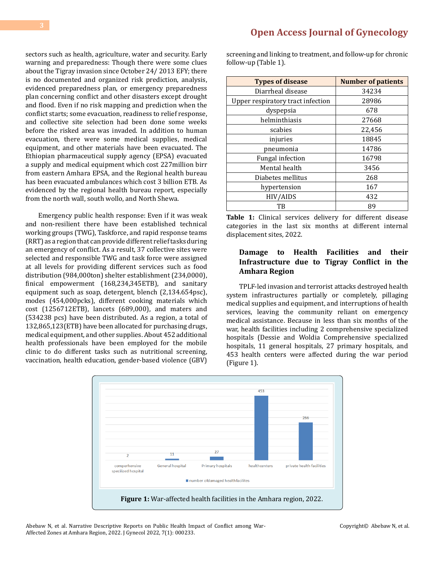sectors such as health, agriculture, water and security. Early warning and preparedness: Though there were some clues about the Tigray invasion since October 24/ 2013 EFY; there is no documented and organized risk prediction, analysis, evidenced preparedness plan, or emergency preparedness plan concerning conflict and other disasters except drought and flood. Even if no risk mapping and prediction when the conflict starts; some evacuation, readiness to relief response, and collective site selection had been done some weeks before the risked area was invaded. In addition to human evacuation, there were some medical supplies, medical equipment, and other materials have been evacuated. The Ethiopian pharmaceutical supply agency (EPSA) evacuated a supply and medical equipment which cost 227million birr from eastern Amhara EPSA, and the Regional health bureau has been evacuated ambulances which cost 3 billion ETB. As evidenced by the regional health bureau report, especially from the north wall, south wollo, and North Shewa.

Emergency public health response: Even if it was weak and non-resilient there have been established technical working groups (TWG), Taskforce, and rapid response teams (RRT) as a region that can provide different relief tasks during an emergency of conflict. As a result, 37 collective sites were selected and responsible TWG and task force were assigned at all levels for providing different services such as food distribution (984,000ton) shelter establishment (234,0000), finical empowerment (168,234,345ETB), and sanitary equipment such as soap, detergent, blench (2,134.654psc), modes (454,000pcks), different cooking materials which cost (1256712ETB), lancets (689,000), and maters and (534238 pcs) have been distributed. As a region, a total of 132,865,123(ETB) have been allocated for purchasing drugs, medical equipment, and other supplies. About 452 additional health professionals have been employed for the mobile clinic to do different tasks such as nutritional screening, vaccination, health education, gender-based violence (GBV)

# **[Open Access Journal of Gynecology](https://medwinpublishers.com/OAJG)**

screening and linking to treatment, and follow-up for chronic follow-up (Table 1).

| <b>Types of disease</b>           | <b>Number of patients</b> |  |  |  |
|-----------------------------------|---------------------------|--|--|--|
| Diarrheal disease                 | 34234                     |  |  |  |
| Upper respiratory tract infection | 28986                     |  |  |  |
| dyspepsia                         | 678                       |  |  |  |
| helminthiasis                     | 27668                     |  |  |  |
| scabies                           | 22,456                    |  |  |  |
| injuries                          | 18845                     |  |  |  |
| pneumonia                         | 14786                     |  |  |  |
| Fungal infection                  | 16798                     |  |  |  |
| Mental health                     | 3456                      |  |  |  |
| Diabetes mellitus                 | 268                       |  |  |  |
| hypertension                      | 167                       |  |  |  |
| HIV/AIDS                          | 432                       |  |  |  |
| TB                                | 89                        |  |  |  |

**Table 1:** Clinical services delivery for different disease categories in the last six months at different internal displacement sites, 2022.

## **Damage to Health Facilities and their Infrastructure due to Tigray Conflict in the Amhara Region**

TPLF-led invasion and terrorist attacks destroyed health system infrastructures partially or completely, pillaging medical supplies and equipment, and interruptions of health services, leaving the community reliant on emergency medical assistance. Because in less than six months of the war, health facilities including 2 comprehensive specialized hospitals (Dessie and Woldia Comprehensive specialized hospitals, 11 general hospitals, 27 primary hospitals, and 453 health centers were affected during the war period (Figure 1).



Abebaw N, et al. Narrative Descriptive Reports on Public Health Impact of Conflict among War-Affected Zones at Amhara Region, 2022. J Gynecol 2022, 7(1): 000233.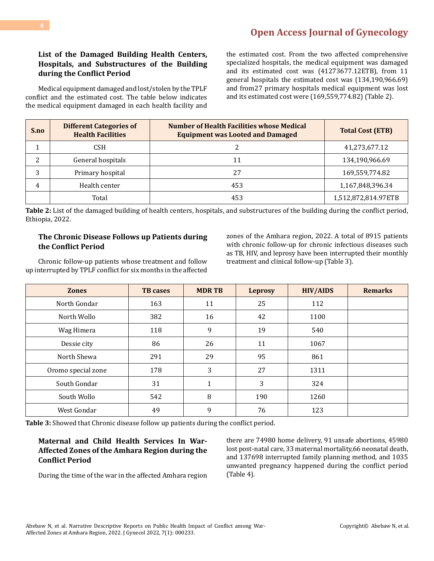## **List of the Damaged Building Health Centers, Hospitals, and Substructures of the Building during the Conflict Period**

Medical equipment damaged and lost/stolen by the TPLF conflict and the estimated cost. The table below indicates the medical equipment damaged in each health facility and

the estimated cost. From the two affected comprehensive specialized hospitals, the medical equipment was damaged and its estimated cost was (41273677.12ETB), from 11 general hospitals the estimated cost was (134,190,966.69) and from27 primary hospitals medical equipment was lost and its estimated cost were (169,559,774.82) (Table 2).

| S.no | <b>Different Categories of</b><br><b>Health Facilities</b> | <b>Number of Health Facilities whose Medical</b><br><b>Equipment was Looted and Damaged</b> | <b>Total Cost (ETB)</b> |
|------|------------------------------------------------------------|---------------------------------------------------------------------------------------------|-------------------------|
|      | <b>CSH</b>                                                 |                                                                                             | 41,273,677.12           |
| 2    | General hospitals                                          | 11                                                                                          | 134,190,966.69          |
| 3    | Primary hospital                                           | 27                                                                                          | 169,559,774.82          |
| 4    | Health center                                              | 453                                                                                         | 1,167,848,396.34        |
|      | Total                                                      | 453                                                                                         | 1,512,872,814.97ETB     |

**Table 2:** List of the damaged building of health centers, hospitals, and substructures of the building during the conflict period, Ethiopia, 2022.

## **The Chronic Disease Follows up Patients during the Conflict Period**

zones of the Amhara region, 2022. A total of 8915 patients with chronic follow-up for chronic infectious diseases such as TB, HIV, and leprosy have been interrupted their monthly treatment and clinical follow-up (Table 3).

Chronic follow-up patients whose treatment and follow up interrupted by TPLF conflict for six months in the affected

| <b>Zones</b>       | <b>TB</b> cases | <b>MDRTB</b> | <b>Leprosy</b> | <b>HIV/AIDS</b> | <b>Remarks</b> |
|--------------------|-----------------|--------------|----------------|-----------------|----------------|
| North Gondar       | 163             | 11           | 25             | 112             |                |
| North Wollo        | 382             | 16           | 42             | 1100            |                |
| Wag Himera         | 118             | 9            | 19             | 540             |                |
| Dessie city        | 86              | 26           | 11             | 1067            |                |
| North Shewa        | 291             | 29           | 95             | 861             |                |
| Oromo special zone | 178             | 3            | 27             | 1311            |                |
| South Gondar       | 31              | 1            | 3              | 324             |                |
| South Wollo        | 542             | 8            | 190            | 1260            |                |
| West Gondar        | 49              | 9            | 76             | 123             |                |

**Table 3:** Showed that Chronic disease follow up patients during the conflict period.

## **Maternal and Child Health Services In War-Affected Zones of the Amhara Region during the Conflict Period**

During the time of the war in the affected Amhara region

there are 74980 home delivery, 91 unsafe abortions, 45980 lost post-natal care, 33 maternal mortality,66 neonatal death, and 137698 interrupted family planning method, and 1035 unwanted pregnancy happened during the conflict period (Table 4).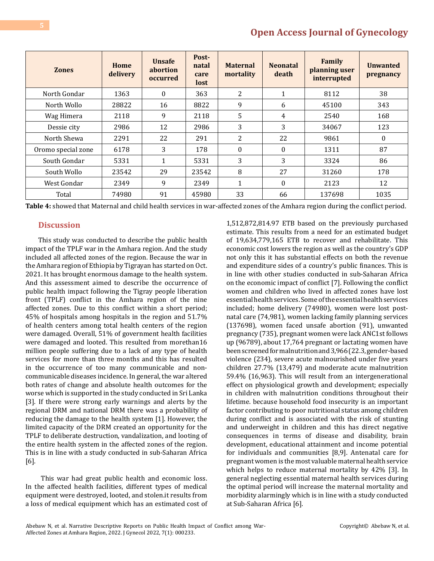| <b>Zones</b>       | Home<br>delivery | <b>Unsafe</b><br>abortion<br>occurred | Post-<br>natal<br>care<br>lost | <b>Maternal</b><br>mortality | <b>Neonatal</b><br>death | Family<br>planning user<br>interrupted | <b>Unwanted</b><br>pregnancy |
|--------------------|------------------|---------------------------------------|--------------------------------|------------------------------|--------------------------|----------------------------------------|------------------------------|
| North Gondar       | 1363             | $\theta$                              | 363                            | 2                            | $\mathbf{1}$             | 8112                                   | 38                           |
| North Wollo        | 28822            | 16                                    | 8822                           | 9                            | 6                        | 45100                                  | 343                          |
| Wag Himera         | 2118             | 9                                     | 2118                           | 5                            | 4                        | 2540                                   | 168                          |
| Dessie city        | 2986             | 12                                    | 2986                           | 3                            | 3                        | 34067                                  | 123                          |
| North Shewa        | 2291             | 22                                    | 291                            | 2                            | 22                       | 9861                                   | $\Omega$                     |
| Oromo special zone | 6178             | 3                                     | 178                            | $\theta$                     | $\theta$                 | 1311                                   | 87                           |
| South Gondar       | 5331             | 1                                     | 5331                           | 3                            | 3                        | 3324                                   | 86                           |
| South Wollo        | 23542            | 29                                    | 23542                          | 8                            | 27                       | 31260                                  | 178                          |
| West Gondar        | 2349             | 9                                     | 2349                           | $\mathbf{1}$                 | $\theta$                 | 2123                                   | 12                           |
| Total              | 74980            | 91                                    | 45980                          | 33                           | 66                       | 137698                                 | 1035                         |

**Table 4:** showed that Maternal and child health services in war-affected zones of the Amhara region during the conflict period.

## **Discussion**

This study was conducted to describe the public health impact of the TPLF war in the Amhara region. And the study included all affected zones of the region. Because the war in the Amhara region of Ethiopia by Tigrayan has started on Oct. 2021. It has brought enormous damage to the health system. And this assessment aimed to describe the occurrence of public health impact following the Tigray people liberation front (TPLF) conflict in the Amhara region of the nine affected zones. Due to this conflict within a short period; 45% of hospitals among hospitals in the region and 51.7% of health centers among total health centers of the region were damaged. Overall, 51% of government health facilities were damaged and looted. This resulted from morethan16 million people suffering due to a lack of any type of health services for more than three months and this has resulted in the occurrence of too many communicable and noncommunicable diseases incidence. In general, the war altered both rates of change and absolute health outcomes for the worse which is supported in the study conducted in Sri Lanka [3]. If there were strong early warnings and alerts by the regional DRM and national DRM there was a probability of reducing the damage to the health system [1]. However, the limited capacity of the DRM created an opportunity for the TPLF to deliberate destruction, vandalization, and looting of the entire health system in the affected zones of the region. This is in line with a study conducted in sub-Saharan Africa [6].

 This war had great public health and economic loss. In the affected health facilities, different types of medical equipment were destroyed, looted, and stolen.it results from a loss of medical equipment which has an estimated cost of

1,512,872,814.97 ETB based on the previously purchased estimate. This results from a need for an estimated budget of 19,634,779,165 ETB to recover and rehabilitate. This economic cost lowers the region as well as the country's GDP not only this it has substantial effects on both the revenue and expenditure sides of a country's public finances. This is in line with other studies conducted in sub-Saharan Africa on the economic impact of conflict [7]. Following the conflict women and children who lived in affected zones have lost essential health services. Some of the essential health services included; home delivery (74980), women were lost postnatal care (74,981), women lacking family planning services (137698), women faced unsafe abortion (91), unwanted pregnancy (735), pregnant women were lack ANC1st follows up (96789), about 17,764 pregnant or lactating women have been screened for malnutrition and 3,966 (22.3, gender-based violence (234), severe acute malnourished under five years children 27.7% (13,479) and moderate acute malnutrition 59.4% (16,963). This will result from an intergenerational effect on physiological growth and development; especially in children with malnutrition conditions throughout their lifetime. because household food insecurity is an important factor contributing to poor nutritional status among children during conflict and is associated with the risk of stunting and underweight in children and this has direct negative consequences in terms of disease and disability, brain development, educational attainment and income potential for individuals and communities [8,9]. Antenatal care for pregnant women is the most valuable maternal health service which helps to reduce maternal mortality by 42% [3]. In general neglecting essential maternal health services during the optimal period will increase the maternal mortality and morbidity alarmingly which is in line with a study conducted at Sub-Saharan Africa [6].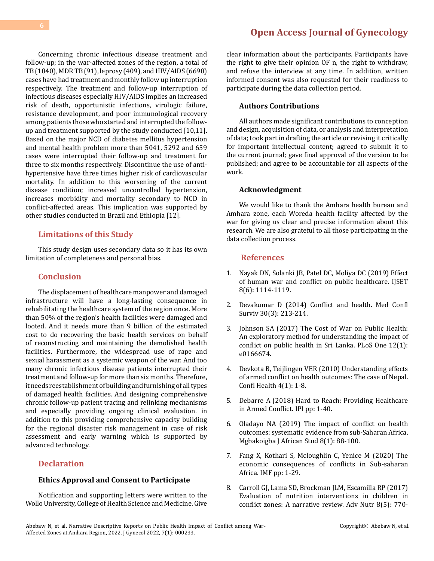Concerning chronic infectious disease treatment and follow-up; in the war-affected zones of the region, a total of TB (1840), MDR TB (91), leprosy (409), and HIV/AIDS (6698) cases have had treatment and monthly follow up interruption respectively. The treatment and follow-up interruption of infectious diseases especially HIV/AIDS implies an increased risk of death, opportunistic infections, virologic failure, resistance development, and poor immunological recovery among patients those who started and interrupted the followup and treatment supported by the study conducted [10,11]. Based on the major NCD of diabetes mellitus hypertension and mental health problem more than 5041, 5292 and 659 cases were interrupted their follow-up and treatment for three to six months respectively. Discontinue the use of antihypertensive have three times higher risk of cardiovascular mortality. In addition to this worsening of the current disease condition; increased uncontrolled hypertension, increases morbidity and mortality secondary to NCD in conflict-affected areas. This implication was supported by other studies conducted in Brazil and Ethiopia [12].

## **Limitations of this Study**

This study design uses secondary data so it has its own limitation of completeness and personal bias.

#### **Conclusion**

The displacement of healthcare manpower and damaged infrastructure will have a long-lasting consequence in rehabilitating the healthcare system of the region once. More than 50% of the region's health facilities were damaged and looted. And it needs more than 9 billion of the estimated cost to do recovering the basic health services on behalf of reconstructing and maintaining the demolished health facilities. Furthermore, the widespread use of rape and sexual harassment as a systemic weapon of the war. And too many chronic infectious disease patients interrupted their treatment and follow-up for more than six months. Therefore, it needs reestablishment of building and furnishing of all types of damaged health facilities. And designing comprehensive chronic follow-up patient tracing and relinking mechanisms and especially providing ongoing clinical evaluation. in addition to this providing comprehensive capacity building for the regional disaster risk management in case of risk assessment and early warning which is supported by advanced technology.

## **Declaration**

#### **Ethics Approval and Consent to Participate**

Notification and supporting letters were written to the Wollo University, College of Health Science and Medicine. Give

# **[Open Access Journal of Gynecology](https://medwinpublishers.com/OAJG)**

clear information about the participants. Participants have the right to give their opinion OF n, the right to withdraw, and refuse the interview at any time. In addition, written informed consent was also requested for their readiness to participate during the data collection period.

#### **Authors Contributions**

All authors made significant contributions to conception and design, acquisition of data, or analysis and interpretation of data; took part in drafting the article or revising it critically for important intellectual content; agreed to submit it to the current journal; gave final approval of the version to be published; and agree to be accountable for all aspects of the work.

#### **Acknowledgment**

We would like to thank the Amhara health bureau and Amhara zone, each Woreda health facility affected by the war for giving us clear and precise information about this research. We are also grateful to all those participating in the data collection process.

#### **References**

- 1. [Nayak DN, Solanki JB, Patel DC, Moliya DC \(2019\) Effect](https://www.ijset.net/journal/2436.pdf) [of human war and conflict on public healthcare. IJSET](https://www.ijset.net/journal/2436.pdf) [8\(6\): 1114-1119.](https://www.ijset.net/journal/2436.pdf)
- 2. [Devakumar D \(2014\) Conflict and health. Med Confl](https://www.tandfonline.com/doi/abs/10.1080/13623699.2014.887456) [Surviv 30\(3\): 213-214.](https://www.tandfonline.com/doi/abs/10.1080/13623699.2014.887456)
- 3. [Johnson SA \(2017\) The Cost of War on Public Health:](https://pubmed.ncbi.nlm.nih.gov/28081118/) [An exploratory method for understanding the impact of](https://pubmed.ncbi.nlm.nih.gov/28081118/)  [conflict on public health in Sri Lanka. PLoS One 12\(1\):](https://pubmed.ncbi.nlm.nih.gov/28081118/) [e0166674.](https://pubmed.ncbi.nlm.nih.gov/28081118/)
- 4. [Devkota B, Teijlingen VER \(2010\) Understanding effects](https://conflictandhealth.biomedcentral.com/articles/10.1186/1752-1505-4-20)  [of armed conflict on health outcomes: The case of Nepal.](https://conflictandhealth.biomedcentral.com/articles/10.1186/1752-1505-4-20)  [Confl Health 4\(1\): 1-8.](https://conflictandhealth.biomedcentral.com/articles/10.1186/1752-1505-4-20)
- 5. [Debarre A \(2018\) Hard to Reach: Providing Healthcare](https://www.ipinst.org/wp-content/uploads/2018/12/1812_Hard-to-Reach.pdf) [in Armed Conflict. IPI pp: 1-40.](https://www.ipinst.org/wp-content/uploads/2018/12/1812_Hard-to-Reach.pdf)
- 6. [Oladayo NA \(2019\) The impact of conflict on health](https://www.ajol.info/index.php/mjas/article/view/187375)  [outcomes: systematic evidence from sub-Saharan Africa.](https://www.ajol.info/index.php/mjas/article/view/187375) [Mgbakoigba J African Stud 8\(1\): 88-100.](https://www.ajol.info/index.php/mjas/article/view/187375)
- 7. [Fang X, Kothari S, Mcloughlin C, Yenice M \(2020\) The](https://www.imf.org/en/Publications/WP/Issues/2020/10/30/The-Economic-Consequences-of-Conflict-in-Sub-Saharan-Africa-49834) [economic consequences of conflicts in Sub-saharan](https://www.imf.org/en/Publications/WP/Issues/2020/10/30/The-Economic-Consequences-of-Conflict-in-Sub-Saharan-Africa-49834)  [Africa. IMF pp: 1-29.](https://www.imf.org/en/Publications/WP/Issues/2020/10/30/The-Economic-Consequences-of-Conflict-in-Sub-Saharan-Africa-49834)
- 8. [Carroll GJ, Lama SD, Brockman JLM, Escamilla RP \(2017\)](https://pubmed.ncbi.nlm.nih.gov/28916577/) [Evaluation of nutrition interventions in children in](https://pubmed.ncbi.nlm.nih.gov/28916577/) [conflict zones: A narrative review. Adv Nutr 8\(5\): 770-](https://pubmed.ncbi.nlm.nih.gov/28916577/)